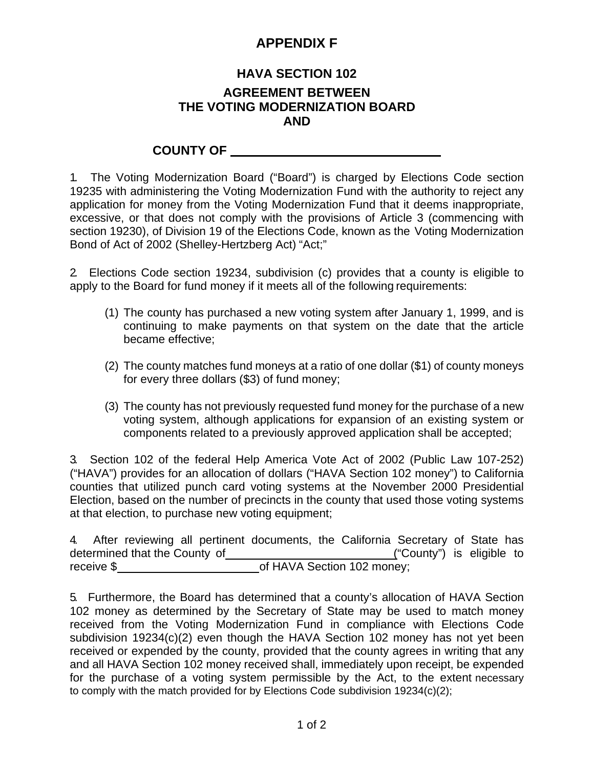## **APPENDIX F**

## **HAVA SECTION 102 AGREEMENT BETWEEN THE VOTING MODERNIZATION BOARD AND**

## **COUNTY OF**

1. The Voting Modernization Board ("Board") is charged by Elections Code section 19235 with administering the Voting Modernization Fund with the authority to reject any application for money from the Voting Modernization Fund that it deems inappropriate, excessive, or that does not comply with the provisions of Article 3 (commencing with section 19230), of Division 19 of the Elections Code, known as the Voting Modernization Bond of Act of 2002 (Shelley-Hertzberg Act) "Act;"

2. Elections Code section 19234, subdivision (c) provides that a county is eligible to apply to the Board for fund money if it meets all of the following requirements:

- (1) The county has purchased a new voting system after January 1, 1999, and is continuing to make payments on that system on the date that the article became effective;
- (2) The county matches fund moneys at a ratio of one dollar (\$1) of county moneys for every three dollars (\$3) of fund money;
- (3) The county has not previously requested fund money for the purchase of a new voting system, although applications for expansion of an existing system or components related to a previously approved application shall be accepted;

3. Section 102 of the federal Help America Vote Act of 2002 (Public Law 107-252) ("HAVA") provides for an allocation of dollars ("HAVA Section 102 money") to California counties that utilized punch card voting systems at the November 2000 Presidential Election, based on the number of precincts in the county that used those voting systems at that election, to purchase new voting equipment;

|            |                               |  | 4. After reviewing all pertinent documents, the California Secretary of State has |  |                           |  |  |
|------------|-------------------------------|--|-----------------------------------------------------------------------------------|--|---------------------------|--|--|
|            | determined that the County of |  |                                                                                   |  | ("County") is eligible to |  |  |
| receive \$ |                               |  | of HAVA Section 102 money;                                                        |  |                           |  |  |

5. Furthermore, the Board has determined that a county's allocation of HAVA Section 102 money as determined by the Secretary of State may be used to match money received from the Voting Modernization Fund in compliance with Elections Code subdivision 19234(c)(2) even though the HAVA Section 102 money has not yet been received or expended by the county, provided that the county agrees in writing that any and all HAVA Section 102 money received shall, immediately upon receipt, be expended for the purchase of a voting system permissible by the Act, to the extent necessary to comply with the match provided for by Elections Code subdivision 19234(c)(2);